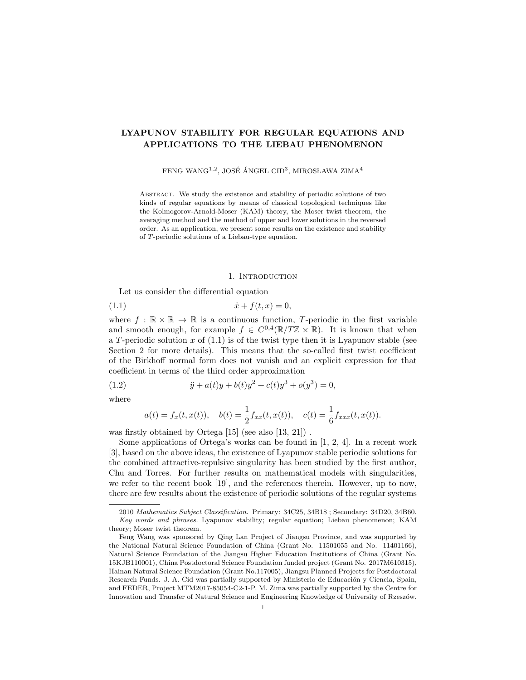# LYAPUNOV STABILITY FOR REGULAR EQUATIONS AND APPLICATIONS TO THE LIEBAU PHENOMENON

FENG WANG $^{1,2},$  JOSÉ ÁNGEL CID $^3,$  MIROSLAWA ZIMA $^4$ 

Abstract. We study the existence and stability of periodic solutions of two kinds of regular equations by means of classical topological techniques like the Kolmogorov-Arnold-Moser (KAM) theory, the Moser twist theorem, the averaging method and the method of upper and lower solutions in the reversed order. As an application, we present some results on the existence and stability of T-periodic solutions of a Liebau-type equation.

#### 1. INTRODUCTION

Let us consider the differential equation

(1.1) 
$$
\ddot{x} + f(t, x) = 0,
$$

where  $f : \mathbb{R} \times \mathbb{R} \to \mathbb{R}$  is a continuous function, T-periodic in the first variable and smooth enough, for example  $f \in C^{0,4}(\mathbb{R}/T\mathbb{Z} \times \mathbb{R})$ . It is known that when a T-periodic solution  $x$  of  $(1.1)$  is of the twist type then it is Lyapunov stable (see Section 2 for more details). This means that the so-called first twist coefficient of the Birkhoff normal form does not vanish and an explicit expression for that coefficient in terms of the third order approximation

(1.2) 
$$
\ddot{y} + a(t)y + b(t)y^{2} + c(t)y^{3} + o(y^{3}) = 0,
$$

where

$$
a(t) = f_x(t, x(t)),
$$
  $b(t) = \frac{1}{2} f_{xx}(t, x(t)),$   $c(t) = \frac{1}{6} f_{xxx}(t, x(t)).$ 

was firstly obtained by Ortega [15] (see also [13, 21]) .

Some applications of Ortega's works can be found in  $[1, 2, 4]$ . In a recent work [3], based on the above ideas, the existence of Lyapunov stable periodic solutions for the combined attractive-repulsive singularity has been studied by the first author, Chu and Torres. For further results on mathematical models with singularities, we refer to the recent book [19], and the references therein. However, up to now, there are few results about the existence of periodic solutions of the regular systems

<sup>2010</sup> Mathematics Subject Classification. Primary: 34C25, 34B18 ; Secondary: 34D20, 34B60. Key words and phrases. Lyapunov stability; regular equation; Liebau phenomenon; KAM theory; Moser twist theorem.

Feng Wang was sponsored by Qing Lan Project of Jiangsu Province, and was supported by the National Natural Science Foundation of China (Grant No. 11501055 and No. 11401166), Natural Science Foundation of the Jiangsu Higher Education Institutions of China (Grant No. 15KJB110001), China Postdoctoral Science Foundation funded project (Grant No. 2017M610315), Hainan Natural Science Foundation (Grant No.117005), Jiangsu Planned Projects for Postdoctoral Research Funds. J. A. Cid was partially supported by Ministerio de Educación y Ciencia, Spain, and FEDER, Project MTM2017-85054-C2-1-P. M. Zima was partially supported by the Centre for Innovation and Transfer of Natural Science and Engineering Knowledge of University of Rzeszów.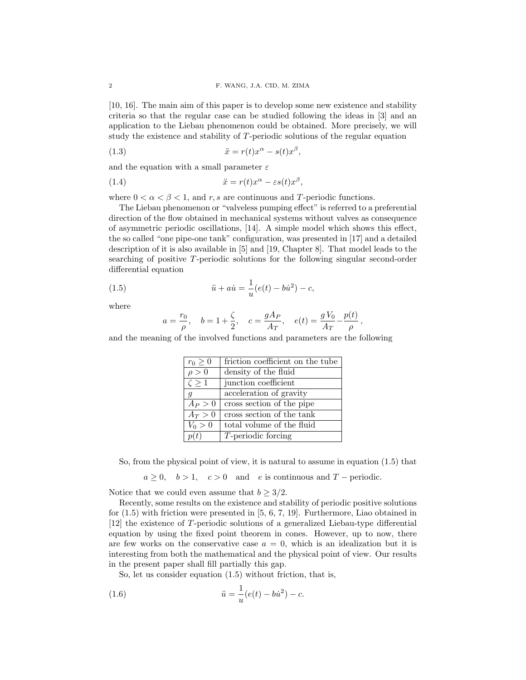[10, 16]. The main aim of this paper is to develop some new existence and stability criteria so that the regular case can be studied following the ideas in [3] and an application to the Liebau phenomenon could be obtained. More precisely, we will study the existence and stability of T-periodic solutions of the regular equation

(1.3) 
$$
\ddot{x} = r(t)x^{\alpha} - s(t)x^{\beta},
$$

and the equation with a small parameter  $\varepsilon$ 

(1.4) 
$$
\ddot{x} = r(t)x^{\alpha} - \varepsilon s(t)x^{\beta},
$$

where  $0 < \alpha < \beta < 1$ , and r, s are continuous and T-periodic functions.

The Liebau phenomenon or "valveless pumping effect" is referred to a preferential direction of the flow obtained in mechanical systems without valves as consequence of asymmetric periodic oscillations, [14]. A simple model which shows this effect, the so called "one pipe-one tank" configuration, was presented in [17] and a detailed description of it is also available in [5] and [19, Chapter 8]. That model leads to the searching of positive T-periodic solutions for the following singular second-order differential equation

(1.5) 
$$
\ddot{u} + a\dot{u} = \frac{1}{u}(e(t) - b\dot{u}^2) - c,
$$

where

$$
a = \frac{r_0}{\rho}, \quad b = 1 + \frac{\zeta}{2}, \quad c = \frac{gA_P}{A_T}, \quad e(t) = \frac{gV_0}{A_T} - \frac{p(t)}{\rho},
$$

and the meaning of the involved functions and parameters are the following

| $r_0 \geq 0$   | friction coefficient on the tube |
|----------------|----------------------------------|
| $\rho > 0$     | density of the fluid             |
| $\zeta \geq 1$ | junction coefficient             |
| $\mathfrak{g}$ | acceleration of gravity          |
| $A_P > 0$      | cross section of the pipe        |
| $A_T > 0$      | cross section of the tank        |
| $V_0 > 0$      | total volume of the fluid        |
| p(t)           | $T$ -periodic forcing            |

So, from the physical point of view, it is natural to assume in equation (1.5) that

 $a \geq 0$ ,  $b > 1$ ,  $c > 0$  and e is continuous and T – periodic.

Notice that we could even assume that  $b \geq 3/2$ .

Recently, some results on the existence and stability of periodic positive solutions for (1.5) with friction were presented in [5, 6, 7, 19]. Furthermore, Liao obtained in [12] the existence of T-periodic solutions of a generalized Liebau-type differential equation by using the fixed point theorem in cones. However, up to now, there are few works on the conservative case  $a = 0$ , which is an idealization but it is interesting from both the mathematical and the physical point of view. Our results in the present paper shall fill partially this gap.

So, let us consider equation (1.5) without friction, that is,

(1.6) 
$$
\ddot{u} = \frac{1}{u}(e(t) - bu^2) - c.
$$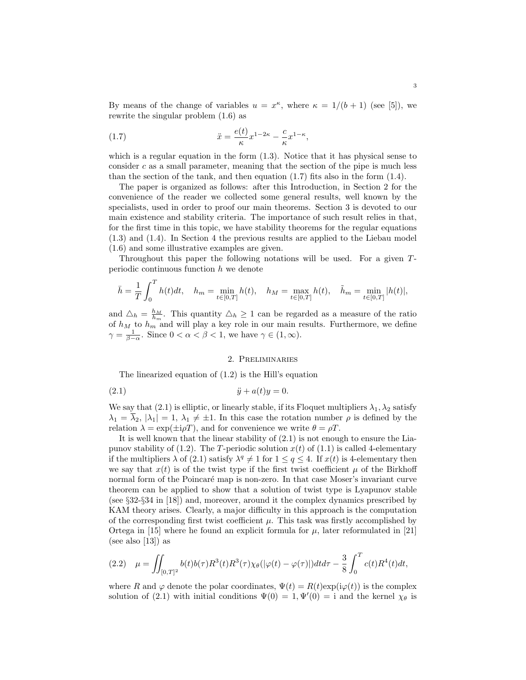By means of the change of variables  $u = x^{\kappa}$ , where  $\kappa = 1/(b+1)$  (see [5]), we rewrite the singular problem (1.6) as

(1.7) 
$$
\ddot{x} = \frac{e(t)}{\kappa} x^{1-2\kappa} - \frac{c}{\kappa} x^{1-\kappa},
$$

which is a regular equation in the form  $(1.3)$ . Notice that it has physical sense to consider  $c$  as a small parameter, meaning that the section of the pipe is much less than the section of the tank, and then equation  $(1.7)$  fits also in the form  $(1.4)$ .

The paper is organized as follows: after this Introduction, in Section 2 for the convenience of the reader we collected some general results, well known by the specialists, used in order to proof our main theorems. Section 3 is devoted to our main existence and stability criteria. The importance of such result relies in that, for the first time in this topic, we have stability theorems for the regular equations (1.3) and (1.4). In Section 4 the previous results are applied to the Liebau model (1.6) and some illustrative examples are given.

Throughout this paper the following notations will be used. For a given Tperiodic continuous function h we denote

$$
\bar{h} = \frac{1}{T} \int_0^T h(t)dt, \quad h_m = \min_{t \in [0,T]} h(t), \quad h_M = \max_{t \in [0,T]} h(t), \quad \tilde{h}_m = \min_{t \in [0,T]} |h(t)|,
$$

and  $\Delta_h = \frac{h_M}{h_m}$ . This quantity  $\Delta_h \geq 1$  can be regarded as a measure of the ratio of  $h_M$  to  $h_m$  and will play a key role in our main results. Furthermore, we define  $\gamma = \frac{1}{\beta - \alpha}$ . Since  $0 < \alpha < \beta < 1$ , we have  $\gamma \in (1, \infty)$ .

# 2. Preliminaries

The linearized equation of (1.2) is the Hill's equation

$$
(2.1) \qquad \qquad \ddot{y} + a(t)y = 0.
$$

We say that (2.1) is elliptic, or linearly stable, if its Floquet multipliers  $\lambda_1, \lambda_2$  satisfy  $\lambda_1 = \overline{\lambda}_2$ ,  $|\lambda_1| = 1$ ,  $\lambda_1 \neq \pm 1$ . In this case the rotation number  $\rho$  is defined by the relation  $\lambda = \exp(\pm i \rho T)$ , and for convenience we write  $\theta = \rho T$ .

It is well known that the linear stability of  $(2.1)$  is not enough to ensure the Liapunov stability of (1.2). The T-periodic solution  $x(t)$  of (1.1) is called 4-elementary if the multipliers  $\lambda$  of (2.1) satisfy  $\lambda^q \neq 1$  for  $1 \leq q \leq 4$ . If  $x(t)$  is 4-elementary then we say that  $x(t)$  is of the twist type if the first twist coefficient  $\mu$  of the Birkhoff normal form of the Poincaré map is non-zero. In that case Moser's invariant curve theorem can be applied to show that a solution of twist type is Lyapunov stable (see §32-§34 in [18]) and, moreover, around it the complex dynamics prescribed by KAM theory arises. Clearly, a major difficulty in this approach is the computation of the corresponding first twist coefficient  $\mu$ . This task was firstly accomplished by Ortega in [15] where he found an explicit formula for  $\mu$ , later reformulated in [21] (see also [13]) as

$$
(2.2)\quad \mu = \iint_{[0,T]^2} b(t)b(\tau)R^3(t)R^3(\tau)\chi_{\theta}(|\varphi(t) - \varphi(\tau)|)dt d\tau - \frac{3}{8}\int_0^T c(t)R^4(t)dt,
$$

where R and  $\varphi$  denote the polar coordinates,  $\Psi(t) = R(t) \exp(i\varphi(t))$  is the complex solution of (2.1) with initial conditions  $\Psi(0) = 1, \Psi'(0) = i$  and the kernel  $\chi_{\theta}$  is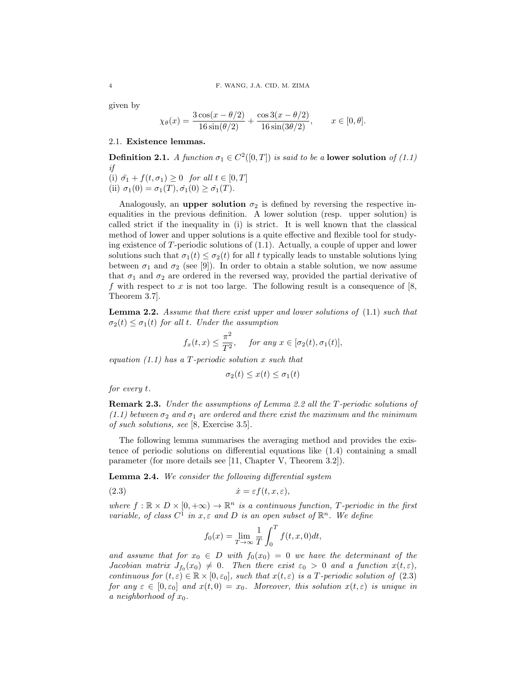given by

$$
\chi_{\theta}(x) = \frac{3\cos(x - \theta/2)}{16\sin(\theta/2)} + \frac{\cos 3(x - \theta/2)}{16\sin(3\theta/2)}, \qquad x \in [0, \theta].
$$

# 2.1. Existence lemmas.

**Definition 2.1.** A function  $\sigma_1 \in C^2([0,T])$  is said to be a **lower solution** of (1.1) if (i)  $\ddot{\sigma_1} + f(t, \sigma_1) \geq 0$  for all  $t \in [0, T]$ (ii)  $\sigma_1(0) = \sigma_1(T), \dot{\sigma_1}(0) \ge \dot{\sigma_1}(T)$ .

Analogously, an upper solution  $\sigma_2$  is defined by reversing the respective inequalities in the previous definition. A lower solution (resp. upper solution) is called strict if the inequality in (i) is strict. It is well known that the classical method of lower and upper solutions is a quite effective and flexible tool for studying existence of  $T$ -periodic solutions of  $(1.1)$ . Actually, a couple of upper and lower solutions such that  $\sigma_1(t) \leq \sigma_2(t)$  for all t typically leads to unstable solutions lying between  $\sigma_1$  and  $\sigma_2$  (see [9]). In order to obtain a stable solution, we now assume that  $\sigma_1$  and  $\sigma_2$  are ordered in the reversed way, provided the partial derivative of f with respect to x is not too large. The following result is a consequence of  $|8$ , Theorem 3.7].

**Lemma 2.2.** Assume that there exist upper and lower solutions of  $(1.1)$  such that  $\sigma_2(t) \leq \sigma_1(t)$  for all t. Under the assumption

$$
f_x(t,x) \leq \frac{\pi^2}{T^2}
$$
, for any  $x \in [\sigma_2(t), \sigma_1(t)],$ 

equation  $(1.1)$  has a T-periodic solution x such that

$$
\sigma_2(t) \le x(t) \le \sigma_1(t)
$$

for every t.

Remark 2.3. Under the assumptions of Lemma 2.2 all the T-periodic solutions of  $(1.1)$  between  $\sigma_2$  and  $\sigma_1$  are ordered and there exist the maximum and the minimum of such solutions, see [8, Exercise 3.5].

The following lemma summarises the averaging method and provides the existence of periodic solutions on differential equations like (1.4) containing a small parameter (for more details see [11, Chapter V, Theorem 3.2]).

Lemma 2.4. We consider the following differential system

$$
(2.3) \t\t\t \dot{x} = \varepsilon f(t, x, \varepsilon),
$$

where  $f : \mathbb{R} \times D \times [0, +\infty) \to \mathbb{R}^n$  is a continuous function, T-periodic in the first variable, of class  $C^{\hat{1}}$  in  $x, \varepsilon$  and D is an open subset of  $\mathbb{R}^n$ . We define

$$
f_0(x) = \lim_{T \to \infty} \frac{1}{T} \int_0^T f(t, x, 0) dt,
$$

and assume that for  $x_0 \in D$  with  $f_0(x_0) = 0$  we have the determinant of the Jacobian matrix  $J_{f_0}(x_0) \neq 0$ . Then there exist  $\varepsilon_0 > 0$  and a function  $x(t,\varepsilon)$ , continuous for  $(t, \varepsilon) \in \mathbb{R} \times [0, \varepsilon_0]$ , such that  $x(t, \varepsilon)$  is a T-periodic solution of  $(2.3)$ for any  $\varepsilon \in [0, \varepsilon_0]$  and  $x(t, 0) = x_0$ . Moreover, this solution  $x(t, \varepsilon)$  is unique in a neighborhood of  $x_0$ .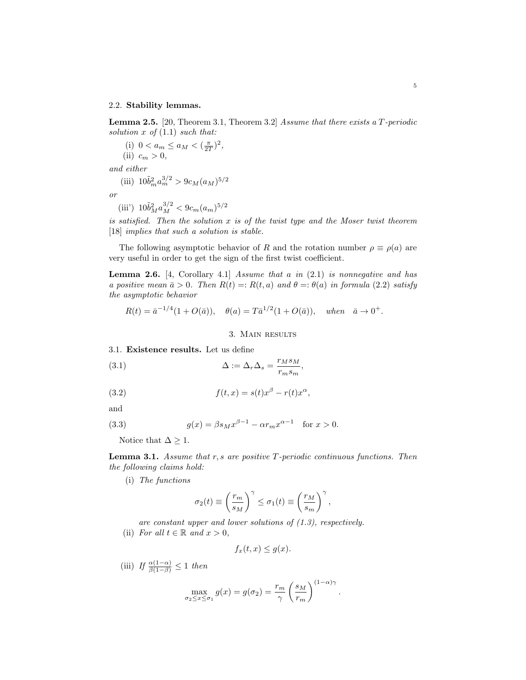#### 2.2. Stability lemmas.

Lemma 2.5. [20, Theorem 3.1, Theorem 3.2] Assume that there exists a T-periodic solution  $x \text{ of } (1.1) \text{ such that:}$ 

(i)  $0 < a_m \le a_M < (\frac{\pi}{2T})^2$ , (ii)  $c_m > 0$ , and either

(iii) 
$$
10\tilde{b}_m^2 a_m^{3/2} > 9c_M(a_M)^{5/2}
$$

or

(iii') 
$$
10\tilde{b}_M^2 a_M^{3/2} < 9c_m(a_m)^{5/2}
$$

is satisfied. Then the solution  $x$  is of the twist type and the Moser twist theorem [18] *implies that such a solution is stable.* 

The following asymptotic behavior of R and the rotation number  $\rho \equiv \rho(a)$  are very useful in order to get the sign of the first twist coefficient.

**Lemma 2.6.** [4, Corollary 4.1] Assume that a in  $(2.1)$  is nonnegative and has a positive mean  $\bar{a} > 0$ . Then  $R(t) =: R(t, a)$  and  $\theta =: \theta(a)$  in formula (2.2) satisfy the asymptotic behavior

$$
R(t) = \bar{a}^{-1/4} (1 + O(\bar{a})), \quad \theta(a) = T \bar{a}^{1/2} (1 + O(\bar{a})), \quad when \quad \bar{a} \to 0^+.
$$

## 3. Main results

3.1. Existence results. Let us define

(3.1) 
$$
\Delta := \Delta_r \Delta_s = \frac{r_M s_M}{r_m s_m},
$$

(3.2) 
$$
f(t,x) = s(t)x^{\beta} - r(t)x^{\alpha},
$$

and

(3.3) 
$$
g(x) = \beta s_M x^{\beta - 1} - \alpha r_m x^{\alpha - 1} \text{ for } x > 0.
$$

Notice that  $\Delta \geq 1.$ 

Lemma 3.1. Assume that r, s are positive T-periodic continuous functions. Then the following claims hold:

(i) The functions

$$
\sigma_2(t) \equiv \left(\frac{r_m}{s_M}\right)^\gamma \leq \sigma_1(t) \equiv \left(\frac{r_M}{s_m}\right)^\gamma,
$$

are constant upper and lower solutions of (1.3), respectively.

(ii) For all  $t \in \mathbb{R}$  and  $x > 0$ ,

$$
f_x(t, x) \le g(x).
$$

(iii) If  $\frac{\alpha(1-\alpha)}{\beta(1-\beta)} \leq 1$  then

$$
\max_{\sigma_2 \le x \le \sigma_1} g(x) = g(\sigma_2) = \frac{r_m}{\gamma} \left(\frac{s_M}{r_m}\right)^{(1-\alpha)\gamma}
$$

.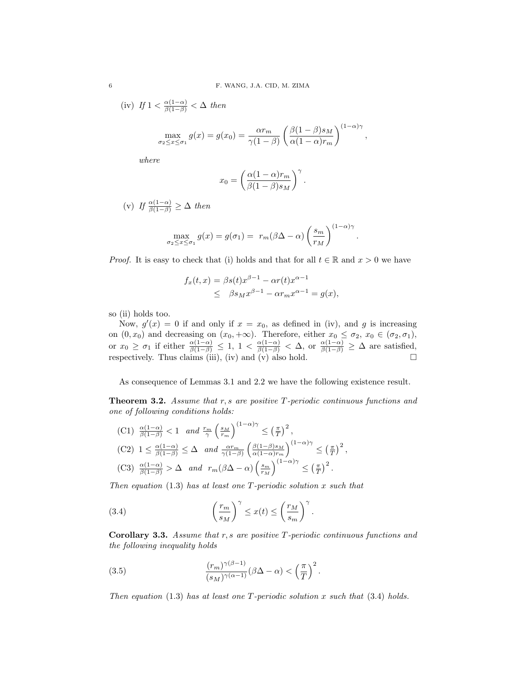(iv) If 
$$
1 < \frac{\alpha(1-\alpha)}{\beta(1-\beta)} < \Delta
$$
 then

$$
\max_{\sigma_2 \leq x \leq \sigma_1} g(x) = g(x_0) = \frac{\alpha r_m}{\gamma (1 - \beta)} \left( \frac{\beta (1 - \beta) s_M}{\alpha (1 - \alpha) r_m} \right)^{(1 - \alpha) \gamma},
$$

where

$$
x_0 = \left(\frac{\alpha (1-\alpha)r_m}{\beta (1-\beta)s_M}\right)^{\gamma}.
$$

(v) If  $\frac{\alpha(1-\alpha)}{\beta(1-\beta)} \geq \Delta$  then

$$
\max_{\sigma_2 \le x \le \sigma_1} g(x) = g(\sigma_1) = r_m(\beta \Delta - \alpha) \left(\frac{s_m}{r_M}\right)^{(1-\alpha)\gamma}.
$$

*Proof.* It is easy to check that (i) holds and that for all  $t \in \mathbb{R}$  and  $x > 0$  we have

$$
f_x(t,x) = \beta s(t)x^{\beta - 1} - \alpha r(t)x^{\alpha - 1}
$$
  
\$\leq \beta s\_M x^{\beta - 1} - \alpha r\_m x^{\alpha - 1} = g(x),\$

so (ii) holds too.

Now,  $g'(x) = 0$  if and only if  $x = x_0$ , as defined in (iv), and g is increasing on  $(0, x_0)$  and decreasing on  $(x_0, +\infty)$ . Therefore, either  $x_0 \leq \sigma_2, x_0 \in (\sigma_2, \sigma_1)$ , or  $x_0 \geq \sigma_1$  if either  $\frac{\alpha(1-\alpha)}{\beta(1-\beta)} \leq 1$ ,  $1 < \frac{\alpha(1-\alpha)}{\beta(1-\beta)} < \Delta$ , or  $\frac{\alpha(1-\alpha)}{\beta(1-\beta)} \geq \Delta$  are satisfied, respectively. Thus claims (iii), (iv) and (v) also hold.

As consequence of Lemmas 3.1 and 2.2 we have the following existence result.

Theorem 3.2. Assume that r, s are positive T-periodic continuous functions and one of following conditions holds:

(C1)  $\frac{\alpha(1-\alpha)}{\beta(1-\beta)} < 1$  and  $\frac{r_m}{\gamma} \left(\frac{s_M}{r_m}\right)^{(1-\alpha)\gamma} \leq \left(\frac{\pi}{T}\right)^2$ , (C2)  $1 \leq \frac{\alpha(1-\alpha)}{\beta(1-\beta)} \leq \Delta$  and  $\frac{\alpha r_m}{\gamma(1-\beta)} \left( \frac{\beta(1-\beta)s_M}{\alpha(1-\alpha)r_m} \right)$  $\frac{\beta(1-\beta)s_M}{\alpha(1-\alpha)r_m}$  $\Big)^{(1-\alpha)\gamma} \leq \left(\frac{\pi}{T}\right)^2$ , (C3)  $\frac{\alpha(1-\alpha)}{\beta(1-\beta)} > \Delta$  and  $r_m(\beta\Delta-\alpha)\left(\frac{s_m}{r_M}\right)^{(1-\alpha)\gamma} \leq \left(\frac{\pi}{T}\right)^2$ .

Then equation  $(1.3)$  has at least one T-periodic solution x such that

(3.4) 
$$
\left(\frac{r_m}{s_M}\right)^{\gamma} \leq x(t) \leq \left(\frac{r_M}{s_m}\right)^{\gamma}
$$

**Corollary 3.3.** Assume that  $r, s$  are positive  $T$ -periodic continuous functions and the following inequality holds

.

(3.5) 
$$
\frac{(r_m)^{\gamma(\beta-1)}}{(s_M)^{\gamma(\alpha-1)}}(\beta\Delta-\alpha)<\left(\frac{\pi}{T}\right)^2.
$$

Then equation (1.3) has at least one T-periodic solution x such that  $(3.4)$  holds.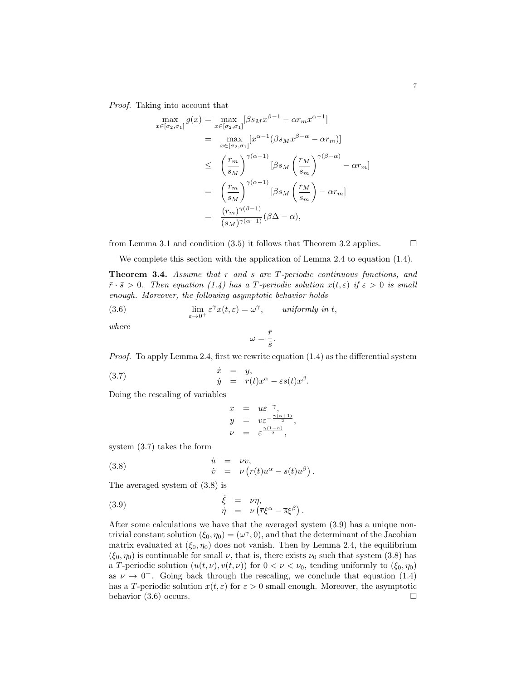Proof. Taking into account that

$$
\max_{x \in [\sigma_2, \sigma_1]} g(x) = \max_{x \in [\sigma_2, \sigma_1]} [\beta s_M x^{\beta - 1} - \alpha r_m x^{\alpha - 1}]
$$
  
\n
$$
= \max_{x \in [\sigma_2, \sigma_1]} [x^{\alpha - 1} (\beta s_M x^{\beta - \alpha} - \alpha r_m)]
$$
  
\n
$$
\leq \left(\frac{r_m}{s_M}\right)^{\gamma(\alpha - 1)} [\beta s_M \left(\frac{r_M}{s_m}\right)^{\gamma(\beta - \alpha)} - \alpha r_m]
$$
  
\n
$$
= \left(\frac{r_m}{s_M}\right)^{\gamma(\alpha - 1)} [\beta s_M \left(\frac{r_M}{s_m}\right) - \alpha r_m]
$$
  
\n
$$
= \frac{(r_m)^{\gamma(\beta - 1)}}{(s_M)^{\gamma(\alpha - 1)}} (\beta \Delta - \alpha),
$$

from Lemma 3.1 and condition (3.5) it follows that Theorem 3.2 applies.  $\Box$ 

We complete this section with the application of Lemma 2.4 to equation (1.4).

Theorem 3.4. Assume that r and s are T-periodic continuous functions, and  $\bar{r} \cdot \bar{s} > 0$ . Then equation (1.4) has a T-periodic solution  $x(t, \varepsilon)$  if  $\varepsilon > 0$  is small enough. Moreover, the following asymptotic behavior holds

(3.6) 
$$
\lim_{\varepsilon \to 0^+} \varepsilon^{\gamma} x(t, \varepsilon) = \omega^{\gamma}, \qquad \text{uniformly in } t,
$$

where

$$
\omega=\frac{\bar{r}}{\bar{s}}.
$$

*Proof.* To apply Lemma 2.4, first we rewrite equation  $(1.4)$  as the differential system

(3.7) 
$$
\dot{x} = y, \n\dot{y} = r(t)x^{\alpha} - \varepsilon s(t)x^{\beta}.
$$

Doing the rescaling of variables

$$
\begin{array}{rcl}\nx & = & u \varepsilon^{-\gamma}, \\
y & = & v \varepsilon^{-\frac{\gamma(\alpha+1)}{2}}, \\
\nu & = & \varepsilon^{\frac{\gamma(1-\alpha)}{2}},\n\end{array}
$$

system (3.7) takes the form

(3.8) 
$$
\dot{u} = \nu v, \n\dot{v} = \nu (r(t)u^{\alpha} - s(t)u^{\beta}).
$$

The averaged system of (3.8) is

(3.9) 
$$
\dot{\xi} = \nu \eta, \n\dot{\eta} = \nu \left( \overline{r} \xi^{\alpha} - \overline{s} \xi^{\beta} \right)
$$

After some calculations we have that the averaged system (3.9) has a unique nontrivial constant solution  $(\xi_0, \eta_0) = (\omega^\gamma, 0)$ , and that the determinant of the Jacobian matrix evaluated at  $(\xi_0, \eta_0)$  does not vanish. Then by Lemma 2.4, the equilibrium  $(\xi_0, \eta_0)$  is continuable for small  $\nu$ , that is, there exists  $\nu_0$  such that system (3.8) has a T-periodic solution  $(u(t, \nu), v(t, \nu))$  for  $0 < \nu < \nu_0$ , tending uniformly to  $(\xi_0, \eta_0)$ as  $\nu \to 0^+$ . Going back through the rescaling, we conclude that equation (1.4) has a T-periodic solution  $x(t, \varepsilon)$  for  $\varepsilon > 0$  small enough. Moreover, the asymptotic behavior  $(3.6)$  occurs.

.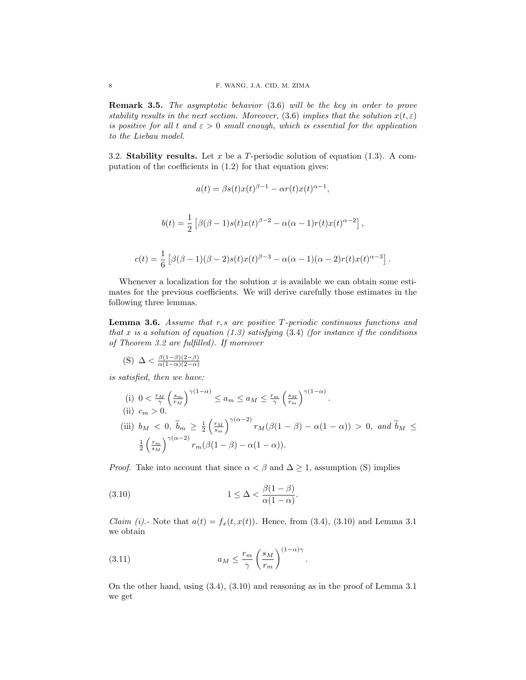Remark 3.5. The asymptotic behavior (3.6) will be the key in order to prove stability results in the next section. Moreover, (3.6) implies that the solution  $x(t, \varepsilon)$ is positive for all t and  $\varepsilon > 0$  small enough, which is essential for the application to the Liebau model.

3.2. Stability results. Let x be a T-periodic solution of equation  $(1.3)$ . A computation of the coefficients in (1.2) for that equation gives:

$$
a(t) = \beta s(t)x(t)^{\beta - 1} - \alpha r(t)x(t)^{\alpha - 1},
$$
  

$$
b(t) = \frac{1}{2} \left[ \beta(\beta - 1)s(t)x(t)^{\beta - 2} - \alpha(\alpha - 1)r(t)x(t)^{\alpha - 2} \right],
$$
  

$$
c(t) = \frac{1}{6} \left[ \beta(\beta - 1)(\beta - 2)s(t)x(t)^{\beta - 3} - \alpha(\alpha - 1)(\alpha - 2)r(t)x(t)^{\alpha - 3} \right].
$$

Whenever a localization for the solution  $x$  is available we can obtain some estimates for the previous coefficients. We will derive carefully those estimates in the following three lemmas.

**Lemma 3.6.** Assume that  $r, s$  are positive  $T$ -periodic continuous functions and that x is a solution of equation (1.3) satisfying  $(3.4)$  (for instance if the conditions of Theorem 3.2 are fulfilled). If moreover

(S) 
$$
\Delta < \frac{\beta(1-\beta)(2-\beta)}{\alpha(1-\alpha)(2-\alpha)}
$$

is satisfied, then we have:

(i) 
$$
0 < \frac{r_M}{\gamma} \left(\frac{s_m}{r_M}\right)^{\gamma(1-\alpha)} \le a_m \le a_M \le \frac{r_m}{\gamma} \left(\frac{s_M}{r_m}\right)^{\gamma(1-\alpha)}
$$
.  
\n(ii)  $c_m > 0$ .  
\n(iii)  $b_M < 0$ ,  $\tilde{b}_m \ge \frac{1}{2} \left(\frac{r_M}{s_m}\right)^{\gamma(\alpha-2)} r_M(\beta(1-\beta) - \alpha(1-\alpha)) > 0$ , and  $\tilde{b}_M \le \frac{1}{2} \left(\frac{r_m}{s_M}\right)^{\gamma(\alpha-2)} r_m(\beta(1-\beta) - \alpha(1-\alpha))$ .

*Proof.* Take into account that since  $\alpha < \beta$  and  $\Delta \geq 1$ , assumption (S) implies

(3.10) 
$$
1 \leq \Delta < \frac{\beta(1-\beta)}{\alpha(1-\alpha)}.
$$

*Claim (i).*- Note that  $a(t) = f_x(t, x(t))$ . Hence, from (3.4), (3.10) and Lemma 3.1 we obtain

.

(3.11) 
$$
a_M \le \frac{r_m}{\gamma} \left(\frac{s_M}{r_m}\right)^{(1-\alpha)\gamma}
$$

On the other hand, using (3.4), (3.10) and reasoning as in the proof of Lemma 3.1 we get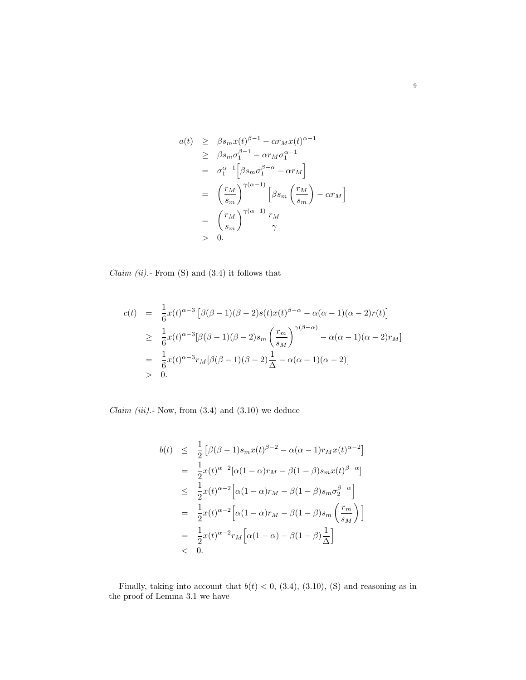$$
a(t) \geq \beta s_m x(t)^{\beta - 1} - \alpha r_M x(t)^{\alpha - 1}
$$
  
\n
$$
\geq \beta s_m \sigma_1^{\beta - 1} - \alpha r_M \sigma_1^{\alpha - 1}
$$
  
\n
$$
= \sigma_1^{\alpha - 1} \Big[ \beta s_m \sigma_1^{\beta - \alpha} - \alpha r_M \Big]
$$
  
\n
$$
= \left( \frac{r_M}{s_m} \right)^{\gamma(\alpha - 1)} \Big[ \beta s_m \left( \frac{r_M}{s_m} \right) - \alpha r_M \Big]
$$
  
\n
$$
= \left( \frac{r_M}{s_m} \right)^{\gamma(\alpha - 1)} \frac{r_M}{\gamma}
$$
  
\n
$$
> 0.
$$

*Claim (ii).*- From  $(S)$  and  $(3.4)$  it follows that

$$
c(t) = \frac{1}{6}x(t)^{\alpha-3}\left[\beta(\beta-1)(\beta-2)s(t)x(t)^{\beta-\alpha} - \alpha(\alpha-1)(\alpha-2)r(t)\right]
$$
  
\n
$$
\geq \frac{1}{6}x(t)^{\alpha-3}[\beta(\beta-1)(\beta-2)s_m\left(\frac{r_m}{s_M}\right)^{\gamma(\beta-\alpha)} - \alpha(\alpha-1)(\alpha-2)r_M]
$$
  
\n
$$
= \frac{1}{6}x(t)^{\alpha-3}r_M[\beta(\beta-1)(\beta-2)\frac{1}{\Delta} - \alpha(\alpha-1)(\alpha-2)]
$$
  
\n
$$
> 0.
$$

 $Claim (iii).$ - Now, from  $(3.4)$  and  $(3.10)$  we deduce

$$
b(t) \leq \frac{1}{2} \left[ \beta(\beta - 1)s_m x(t)^{\beta - 2} - \alpha(\alpha - 1)r_M x(t)^{\alpha - 2} \right]
$$
  
\n
$$
= \frac{1}{2} x(t)^{\alpha - 2} [\alpha(1 - \alpha)r_M - \beta(1 - \beta)s_m x(t)^{\beta - \alpha}]
$$
  
\n
$$
\leq \frac{1}{2} x(t)^{\alpha - 2} \left[ \alpha(1 - \alpha)r_M - \beta(1 - \beta)s_m \sigma_2^{\beta - \alpha} \right]
$$
  
\n
$$
= \frac{1}{2} x(t)^{\alpha - 2} \left[ \alpha(1 - \alpha)r_M - \beta(1 - \beta)s_m \left( \frac{r_m}{s_M} \right) \right]
$$
  
\n
$$
= \frac{1}{2} x(t)^{\alpha - 2} r_M \left[ \alpha(1 - \alpha) - \beta(1 - \beta) \frac{1}{\Delta} \right]
$$
  
\n
$$
< 0.
$$

Finally, taking into account that  $b(t) < 0$ , (3.4), (3.10), (S) and reasoning as in the proof of Lemma 3.1 we have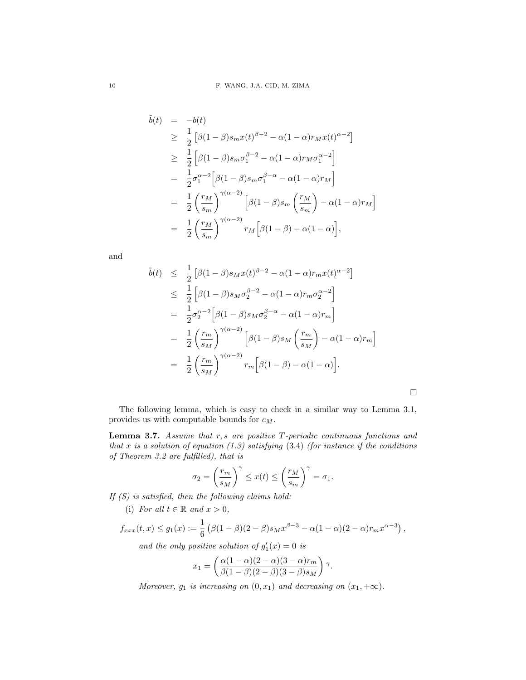$$
\tilde{b}(t) = -b(t)
$$
\n
$$
\geq \frac{1}{2} \left[ \beta (1 - \beta) s_m x(t)^{\beta - 2} - \alpha (1 - \alpha) r_M x(t)^{\alpha - 2} \right]
$$
\n
$$
\geq \frac{1}{2} \left[ \beta (1 - \beta) s_m \sigma_1^{\beta - 2} - \alpha (1 - \alpha) r_M \sigma_1^{\alpha - 2} \right]
$$
\n
$$
= \frac{1}{2} \sigma_1^{\alpha - 2} \left[ \beta (1 - \beta) s_m \sigma_1^{\beta - \alpha} - \alpha (1 - \alpha) r_M \right]
$$
\n
$$
= \frac{1}{2} \left( \frac{r_M}{s_m} \right)^{\gamma (\alpha - 2)} \left[ \beta (1 - \beta) s_m \left( \frac{r_M}{s_m} \right) - \alpha (1 - \alpha) r_M \right]
$$
\n
$$
= \frac{1}{2} \left( \frac{r_M}{s_m} \right)^{\gamma (\alpha - 2)} r_M \left[ \beta (1 - \beta) - \alpha (1 - \alpha) \right],
$$

and

$$
\tilde{b}(t) \leq \frac{1}{2} \left[ \beta (1 - \beta) s_M x(t)^{\beta - 2} - \alpha (1 - \alpha) r_m x(t)^{\alpha - 2} \right]
$$
\n
$$
\leq \frac{1}{2} \left[ \beta (1 - \beta) s_M \sigma_2^{\beta - 2} - \alpha (1 - \alpha) r_m \sigma_2^{\alpha - 2} \right]
$$
\n
$$
= \frac{1}{2} \sigma_2^{\alpha - 2} \left[ \beta (1 - \beta) s_M \sigma_2^{\beta - \alpha} - \alpha (1 - \alpha) r_m \right]
$$
\n
$$
= \frac{1}{2} \left( \frac{r_m}{s_M} \right)^{\gamma (\alpha - 2)} \left[ \beta (1 - \beta) s_M \left( \frac{r_m}{s_M} \right) - \alpha (1 - \alpha) r_m \right]
$$
\n
$$
= \frac{1}{2} \left( \frac{r_m}{s_M} \right)^{\gamma (\alpha - 2)} r_m \left[ \beta (1 - \beta) - \alpha (1 - \alpha) \right].
$$

 $\Box$ 

The following lemma, which is easy to check in a similar way to Lemma 3.1, provides us with computable bounds for  $c_M$ .

Lemma 3.7. Assume that  $r, s$  are positive  $T$ -periodic continuous functions and that x is a solution of equation (1.3) satisfying  $(3.4)$  (for instance if the conditions of Theorem 3.2 are fulfilled), that is

$$
\sigma_2 = \left(\frac{r_m}{s_M}\right)^{\gamma} \le x(t) \le \left(\frac{r_M}{s_m}\right)^{\gamma} = \sigma_1.
$$

If  $(S)$  is satisfied, then the following claims hold:

(i) For all  $t \in \mathbb{R}$  and  $x > 0$ ,

$$
f_{xxx}(t,x) \le g_1(x) := \frac{1}{6} \left( \beta(1-\beta)(2-\beta)s_M x^{\beta-3} - \alpha(1-\alpha)(2-\alpha)r_m x^{\alpha-3} \right),
$$

and the only positive solution of  $g'_1(x) = 0$  is

$$
x_1 = \left(\frac{\alpha(1-\alpha)(2-\alpha)(3-\alpha)r_m}{\beta(1-\beta)(2-\beta)(3-\beta)s_M}\right)\gamma.
$$

Moreover,  $g_1$  is increasing on  $(0, x_1)$  and decreasing on  $(x_1, +\infty)$ .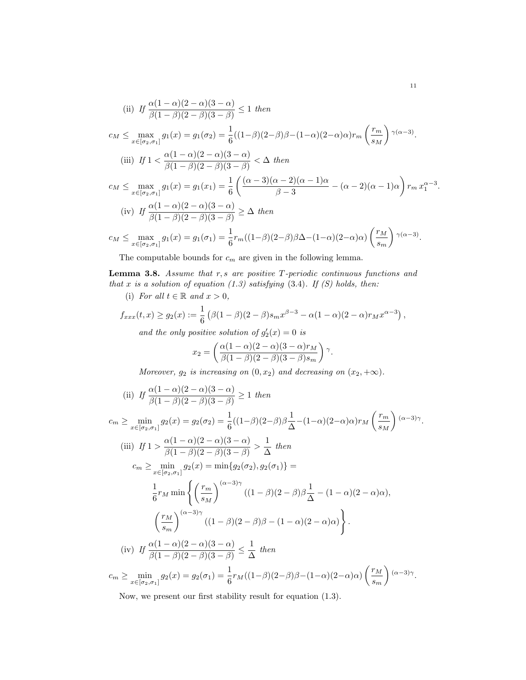(ii) If 
$$
\frac{\alpha(1-\alpha)(2-\alpha)(3-\alpha)}{\beta(1-\beta)(2-\beta)(3-\beta)} \le 1 \text{ then}
$$
  
\n
$$
c_M \le \max_{x \in [\sigma_2, \sigma_1]} g_1(x) = g_1(\sigma_2) = \frac{1}{6}((1-\beta)(2-\beta)\beta - (1-\alpha)(2-\alpha)\alpha)r_m\left(\frac{r_m}{s_M}\right)^{\gamma(\alpha-3)}.
$$
  
\n(iii) If  $1 < \frac{\alpha(1-\alpha)(2-\alpha)(3-\alpha)}{\beta(1-\beta)(2-\beta)(3-\beta)} < \Delta$  then  
\n
$$
c_M \le \max_{x \in [\sigma_2, \sigma_1]} g_1(x) = g_1(x_1) = \frac{1}{6}\left(\frac{(\alpha-3)(\alpha-2)(\alpha-1)\alpha}{\beta-3} - (\alpha-2)(\alpha-1)\alpha\right)r_m x_1^{\alpha-3}.
$$
  
\n(iv) If  $\frac{\alpha(1-\alpha)(2-\alpha)(3-\alpha)}{\beta(1-\beta)(2-\beta)(3-\beta)} \ge \Delta$  then  
\n
$$
c_M \le \max_{x \in [\alpha, \sigma]} g_1(x) = g_1(\sigma_1) = \frac{1}{\epsilon}r_m((1-\beta)(2-\beta)\beta\Delta - (1-\alpha)(2-\alpha)\alpha)\left(\frac{r_M}{\epsilon}\right)^{\gamma(\alpha-3)}.
$$

$$
c_M \le \max_{x \in [\sigma_2, \sigma_1]} g_1(x) = g_1(\sigma_1) = \frac{1}{6} r_m((1-\beta)(2-\beta)\beta\Delta - (1-\alpha)(2-\alpha)\alpha) \left(\frac{r_M}{s_m}\right)^{\gamma(\alpha-3)}
$$

The computable bounds for  $c_m$  are given in the following lemma.

Lemma 3.8. Assume that  $r, s$  are positive  $T$ -periodic continuous functions and that x is a solution of equation  $(1.3)$  satisfying  $(3.4)$ . If  $(S)$  holds, then:

(i) For all 
$$
t \in \mathbb{R}
$$
 and  $x > 0$ ,

$$
f_{xxx}(t,x) \ge g_2(x) := \frac{1}{6} \left( \beta (1-\beta)(2-\beta)s_m x^{\beta-3} - \alpha (1-\alpha)(2-\alpha)r_M x^{\alpha-3} \right),
$$

and the only positive solution of  $g'_2(x) = 0$  is

$$
x_2 = \left(\frac{\alpha(1-\alpha)(2-\alpha)(3-\alpha)r_M}{\beta(1-\beta)(2-\beta)(3-\beta)s_m}\right)\gamma.
$$

Moreover,  $g_2$  is increasing on  $(0, x_2)$  and decreasing on  $(x_2, +\infty)$ .

(ii) If 
$$
\frac{\alpha(1-\alpha)(2-\alpha)(3-\alpha)}{\beta(1-\beta)(2-\beta)(3-\beta)} \ge 1
$$
 then

$$
c_m \ge \min_{x \in [\sigma_2, \sigma_1]} g_2(x) = g_2(\sigma_2) = \frac{1}{6} ((1-\beta)(2-\beta)\beta \frac{1}{\Delta} - (1-\alpha)(2-\alpha)\alpha) r_M \left(\frac{r_m}{s_M}\right) (\alpha - 3)\gamma.
$$
  
\n(iii) If  $1 > \frac{\alpha(1-\alpha)(2-\alpha)(3-\alpha)}{\beta(1-\beta)(2-\beta)(3-\beta)} > \frac{1}{\Delta}$  then  
\n
$$
c_m \ge \min_{x \in [\sigma_2, \sigma_1]} g_2(x) = \min\{g_2(\sigma_2), g_2(\sigma_1)\} =
$$
  
\n
$$
\frac{1}{6} r_M \min \left\{ \left(\frac{r_m}{s_M}\right)^{(\alpha - 3)\gamma} ((1-\beta)(2-\beta)\beta \frac{1}{\Delta} - (1-\alpha)(2-\alpha)\alpha), \left(\frac{r_M}{s_m}\right)^{(\alpha - 3)\gamma} ((1-\beta)(2-\beta)\beta - (1-\alpha)(2-\alpha)\alpha) \right\}.
$$
  
\n(iv) If  $\frac{\alpha(1-\alpha)(2-\alpha)(3-\alpha)}{\beta(1-\beta)(2-\beta)(3-\beta)} \le \frac{1}{\Delta}$  then  
\n
$$
c_m \ge \min_{x \in [\sigma_2, \sigma_1]} g_2(x) = g_2(\sigma_1) = \frac{1}{6} r_M ((1-\beta)(2-\beta)\beta - (1-\alpha)(2-\alpha)\alpha) \left(\frac{r_M}{s_m}\right) (\alpha - 3)\gamma.
$$

Now, we present our first stability result for equation (1.3).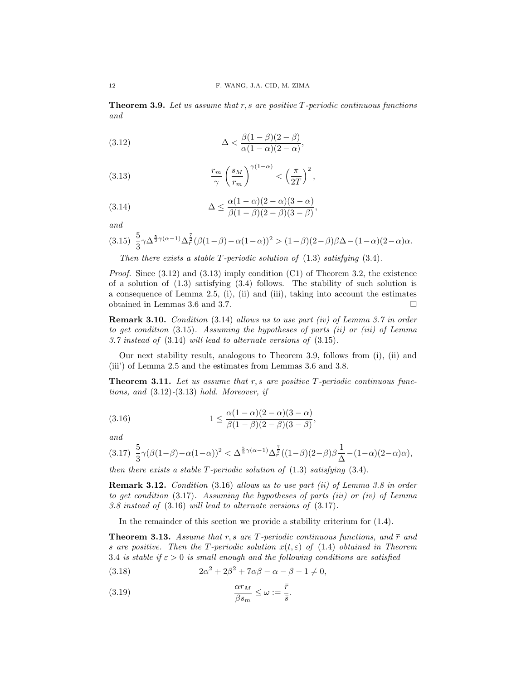**Theorem 3.9.** Let us assume that  $r$ ,  $s$  are positive  $T$ -periodic continuous functions and

(3.12) 
$$
\Delta < \frac{\beta(1-\beta)(2-\beta)}{\alpha(1-\alpha)(2-\alpha)},
$$

(3.13) 
$$
\frac{r_m}{\gamma} \left(\frac{s_M}{r_m}\right)^{\gamma(1-\alpha)} < \left(\frac{\pi}{2T}\right)^2,
$$

(3.14) 
$$
\Delta \leq \frac{\alpha(1-\alpha)(2-\alpha)(3-\alpha)}{\beta(1-\beta)(2-\beta)(3-\beta)},
$$

and

$$
(3.15)\ \ \frac{5}{3}\gamma\Delta^{\frac{5}{2}\gamma(\alpha-1)}\Delta^{\frac{7}{2}}_r(\beta(1-\beta)-\alpha(1-\alpha))^2>(1-\beta)(2-\beta)\beta\Delta-(1-\alpha)(2-\alpha)\alpha.
$$

Then there exists a stable T-periodic solution of  $(1.3)$  satisfying  $(3.4)$ .

*Proof.* Since  $(3.12)$  and  $(3.13)$  imply condition  $(C1)$  of Theorem 3.2, the existence of a solution of (1.3) satisfying (3.4) follows. The stability of such solution is a consequence of Lemma 2.5, (i), (ii) and (iii), taking into account the estimates obtained in Lemmas 3.6 and 3.7.

Remark 3.10. Condition (3.14) allows us to use part (iv) of Lemma 3.7 in order to get condition (3.15). Assuming the hypotheses of parts (ii) or (iii) of Lemma 3.7 instead of (3.14) will lead to alternate versions of (3.15).

Our next stability result, analogous to Theorem 3.9, follows from (i), (ii) and (iii') of Lemma 2.5 and the estimates from Lemmas 3.6 and 3.8.

**Theorem 3.11.** Let us assume that  $r, s$  are positive  $T$ -periodic continuous functions, and  $(3.12)$ - $(3.13)$  hold. Moreover, if

(3.16) 
$$
1 \leq \frac{\alpha(1-\alpha)(2-\alpha)(3-\alpha)}{\beta(1-\beta)(2-\beta)(3-\beta)},
$$

and

$$
(3.17)\ \ \frac{5}{3}\gamma(\beta(1-\beta)-\alpha(1-\alpha))^2<\Delta^{\frac{5}{2}\gamma(\alpha-1)}\Delta^{\frac{7}{2}}_r((1-\beta)(2-\beta)\beta\frac{1}{\Delta}-(1-\alpha)(2-\alpha)\alpha),
$$

then there exists a stable T-periodic solution of  $(1.3)$  satisfying  $(3.4)$ .

Remark 3.12. Condition (3.16) allows us to use part (ii) of Lemma 3.8 in order to get condition  $(3.17)$ . Assuming the hypotheses of parts *(iii)* or *(iv)* of Lemma 3.8 instead of (3.16) will lead to alternate versions of (3.17).

In the remainder of this section we provide a stability criterium for (1.4).

**Theorem 3.13.** Assume that r, s are T-periodic continuous functions, and  $\bar{r}$  and s are positive. Then the T-periodic solution  $x(t, \varepsilon)$  of (1.4) obtained in Theorem 3.4 is stable if  $\varepsilon > 0$  is small enough and the following conditions are satisfied

(3.18) 
$$
2\alpha^2 + 2\beta^2 + 7\alpha\beta - \alpha - \beta - 1 \neq 0,
$$

(3.19) 
$$
\frac{\alpha r_M}{\beta s_m} \le \omega := \frac{\bar{r}}{\bar{s}}.
$$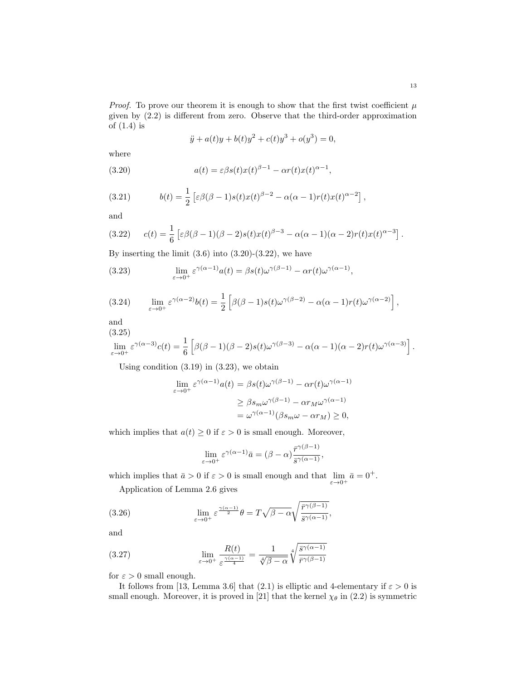*Proof.* To prove our theorem it is enough to show that the first twist coefficient  $\mu$ given by (2.2) is different from zero. Observe that the third-order approximation of (1.4) is

$$
\ddot{y} + a(t)y + b(t)y^{2} + c(t)y^{3} + o(y^{3}) = 0,
$$

where

(3.20) 
$$
a(t) = \varepsilon \beta s(t) x(t)^{\beta - 1} - \alpha r(t) x(t)^{\alpha - 1},
$$

(3.21) 
$$
b(t) = \frac{1}{2} \left[ \varepsilon \beta (\beta - 1) s(t) x(t)^{\beta - 2} - \alpha (\alpha - 1) r(t) x(t)^{\alpha - 2} \right],
$$

and

$$
(3.22) \qquad c(t) = \frac{1}{6} \left[ \varepsilon \beta (\beta - 1)(\beta - 2) s(t) x(t)^{\beta - 3} - \alpha (\alpha - 1)(\alpha - 2) r(t) x(t)^{\alpha - 3} \right].
$$

By inserting the limit  $(3.6)$  into  $(3.20)-(3.22)$ , we have

(3.23) 
$$
\lim_{\varepsilon \to 0^+} \varepsilon^{\gamma(\alpha-1)} a(t) = \beta s(t) \omega^{\gamma(\beta-1)} - \alpha r(t) \omega^{\gamma(\alpha-1)},
$$

(3.24) 
$$
\lim_{\varepsilon \to 0^+} \varepsilon^{\gamma(\alpha-2)} b(t) = \frac{1}{2} \left[ \beta(\beta-1)s(t)\omega^{\gamma(\beta-2)} - \alpha(\alpha-1)r(t)\omega^{\gamma(\alpha-2)} \right],
$$

and  $(3.25)$ 

$$
\lim_{\varepsilon \to 0^+} \varepsilon^{\gamma(\alpha-3)} c(t) = \frac{1}{6} \left[ \beta(\beta-1)(\beta-2)s(t)\omega^{\gamma(\beta-3)} - \alpha(\alpha-1)(\alpha-2)r(t)\omega^{\gamma(\alpha-3)} \right].
$$

Using condition  $(3.19)$  in  $(3.23)$ , we obtain

$$
\lim_{\varepsilon \to 0^+} \varepsilon^{\gamma(\alpha - 1)} a(t) = \beta s(t) \omega^{\gamma(\beta - 1)} - \alpha r(t) \omega^{\gamma(\alpha - 1)}
$$

$$
\geq \beta s_m \omega^{\gamma(\beta - 1)} - \alpha r_M \omega^{\gamma(\alpha - 1)}
$$

$$
= \omega^{\gamma(\alpha - 1)} (\beta s_m \omega - \alpha r_M) \geq 0,
$$

which implies that  $a(t) \geq 0$  if  $\varepsilon > 0$  is small enough. Moreover,

$$
\lim_{\varepsilon \to 0^+} \varepsilon^{\gamma(\alpha - 1)} \bar{a} = (\beta - \alpha) \frac{\bar{r}^{\gamma(\beta - 1)}}{\bar{s}^{\gamma(\alpha - 1)}},
$$

which implies that  $\bar{a} > 0$  if  $\varepsilon > 0$  is small enough and that  $\lim_{\varepsilon \to 0^+} \bar{a} = 0^+$ .

Application of Lemma 2.6 gives

(3.26) 
$$
\lim_{\varepsilon \to 0^+} \varepsilon^{\frac{\gamma(\alpha-1)}{2}} \theta = T \sqrt{\beta - \alpha} \sqrt{\frac{\bar{r}^{\gamma(\beta-1)}}{\bar{s}^{\gamma(\alpha-1)}}},
$$

and

(3.27) 
$$
\lim_{\varepsilon \to 0^+} \frac{R(t)}{\varepsilon^{\frac{\gamma(\alpha-1)}{4}}} = \frac{1}{\sqrt[4]{\beta - \alpha}} \sqrt[4]{\frac{\bar{s}^{\gamma(\alpha-1)}}{\bar{r}^{\gamma(\beta-1)}}}
$$

for  $\varepsilon>0$  small enough.

It follows from [13, Lemma 3.6] that (2.1) is elliptic and 4-elementary if  $\varepsilon > 0$  is small enough. Moreover, it is proved in [21] that the kernel  $\chi_{\theta}$  in (2.2) is symmetric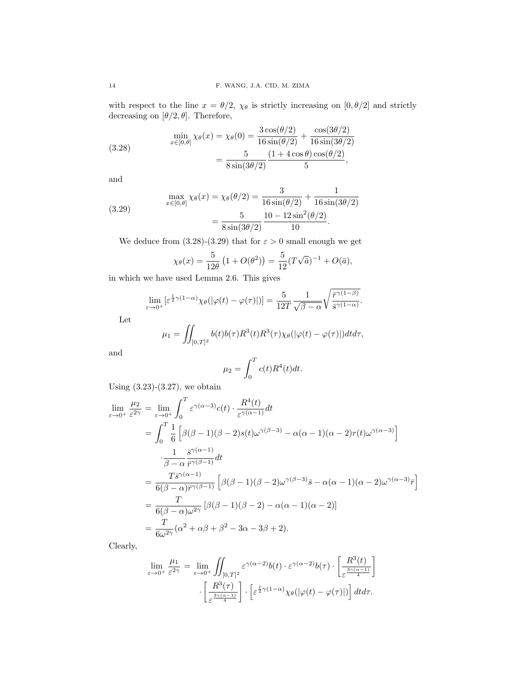with respect to the line  $x = \theta/2$ ,  $\chi_{\theta}$  is strictly increasing on  $[0, \theta/2]$  and strictly decreasing on  $[\theta/2, \theta]$ . Therefore,

(3.28) 
$$
\min_{x \in [0,\theta]} \chi_{\theta}(x) = \chi_{\theta}(0) = \frac{3 \cos(\theta/2)}{16 \sin(\theta/2)} + \frac{\cos(3\theta/2)}{16 \sin(3\theta/2)}
$$

$$
= \frac{5}{8 \sin(3\theta/2)} \frac{(1 + 4 \cos \theta) \cos(\theta/2)}{5},
$$

and

(3.29) 
$$
\max_{x \in [0,\theta]} \chi_{\theta}(x) = \chi_{\theta}(\theta/2) = \frac{3}{16 \sin(\theta/2)} + \frac{1}{16 \sin(3\theta/2)} \n= \frac{5}{8 \sin(3\theta/2)} \frac{10 - 12 \sin^2(\theta/2)}{10}.
$$

We deduce from (3.28)-(3.29) that for  $\varepsilon > 0$  small enough we get

$$
\chi_{\theta}(x) = \frac{5}{12\theta} \left( 1 + O(\theta^2) \right) = \frac{5}{12} (T\sqrt{\bar{a}})^{-1} + O(\bar{a}),
$$

in which we have used Lemma 2.6. This gives

$$
\lim_{\varepsilon \to 0^+} \left[ \varepsilon^{\frac{1}{2}\gamma(1-\alpha)} \chi_\theta(|\varphi(t) - \varphi(\tau)|) \right] = \frac{5}{12T} \frac{1}{\sqrt{\beta - \alpha}} \sqrt{\frac{\bar{r}^{\gamma(1-\beta)}}{\bar{s}^{\gamma(1-\alpha)}}}.
$$

Let

$$
\mu_1 = \iint_{[0,T]^2} b(t)b(\tau)R^3(t)R^3(\tau)\chi_{\theta}(|\varphi(t) - \varphi(\tau)|)dtd\tau,
$$

and

$$
\mu_2 = \int_0^T c(t) R^4(t) dt.
$$

Using  $(3.23)-(3.27)$ , we obtain

$$
\lim_{\varepsilon \to 0^{+}} \frac{\mu_{2}}{\varepsilon^{2\gamma}} = \lim_{\varepsilon \to 0^{+}} \int_{0}^{T} \varepsilon^{\gamma(\alpha-3)} c(t) \cdot \frac{R^{4}(t)}{\varepsilon^{\gamma(\alpha-1)}} dt
$$
\n
$$
= \int_{0}^{T} \frac{1}{6} \left[ \beta(\beta - 1)(\beta - 2)s(t)\omega^{\gamma(\beta - 3)} - \alpha(\alpha - 1)(\alpha - 2)r(t)\omega^{\gamma(\alpha - 3)} \right]
$$
\n
$$
\cdot \frac{1}{\beta - \alpha} \frac{\bar{s}^{\gamma(\alpha - 1)}}{\bar{r}^{\gamma(\beta - 1)}} dt
$$
\n
$$
= \frac{T\bar{s}^{\gamma(\alpha - 1)}}{6(\beta - \alpha)\bar{r}^{\gamma(\beta - 1)}} \left[ \beta(\beta - 1)(\beta - 2)\omega^{\gamma(\beta - 3)}\bar{s} - \alpha(\alpha - 1)(\alpha - 2)\omega^{\gamma(\alpha - 3)}\bar{r} \right]
$$
\n
$$
= \frac{T}{6(\beta - \alpha)\omega^{2\gamma}} \left[ \beta(\beta - 1)(\beta - 2) - \alpha(\alpha - 1)(\alpha - 2) \right]
$$
\n
$$
= \frac{T}{6\omega^{2\gamma}} (\alpha^{2} + \alpha\beta + \beta^{2} - 3\alpha - 3\beta + 2).
$$

Clearly,

$$
\lim_{\varepsilon \to 0^+} \frac{\mu_1}{\varepsilon^{2\gamma}} = \lim_{\varepsilon \to 0^+} \iint_{[0,T]^2} \varepsilon^{\gamma(\alpha-2)} b(t) \cdot \varepsilon^{\gamma(\alpha-2)} b(\tau) \cdot \left[ \frac{R^3(t)}{\varepsilon^{\frac{3\gamma(\alpha-1)}{4}}} \right] \cdot \left[ \frac{R^3(\tau)}{\varepsilon^{\frac{3\gamma(\alpha-1)}{4}}} \right] \cdot \left[ \varepsilon^{\frac{1}{2}\gamma(1-\alpha)} \chi_\theta(|\varphi(t) - \varphi(\tau)|) \right] dt d\tau.
$$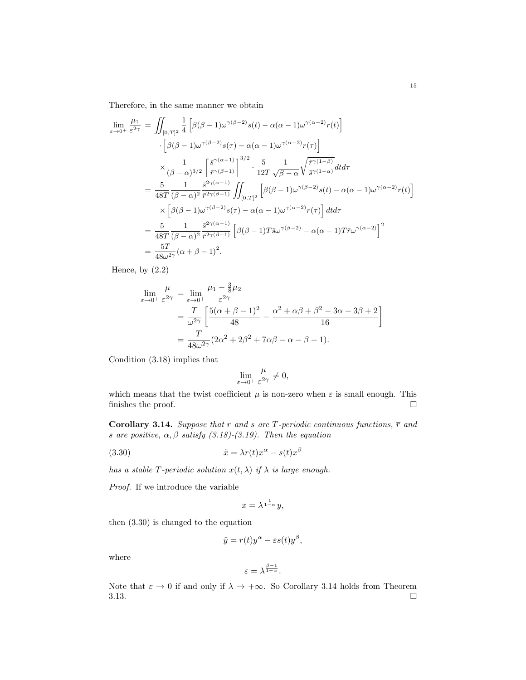Therefore, in the same manner we obtain

$$
\lim_{\varepsilon \to 0^{+}} \frac{\mu_{1}}{\varepsilon^{2\gamma}} = \iint_{[0,T]^{2}} \frac{1}{4} \left[ \beta(\beta - 1)\omega^{\gamma(\beta - 2)} s(t) - \alpha(\alpha - 1)\omega^{\gamma(\alpha - 2)} r(t) \right]
$$

$$
\cdot \left[ \beta(\beta - 1)\omega^{\gamma(\beta - 2)} s(\tau) - \alpha(\alpha - 1)\omega^{\gamma(\alpha - 2)} r(\tau) \right]
$$

$$
\times \frac{1}{(\beta - \alpha)^{3/2}} \left[ \frac{\bar{s}^{\gamma(\alpha - 1)}}{\bar{r}^{\gamma(\beta - 1)}} \right]^{3/2} \cdot \frac{5}{12T} \frac{1}{\sqrt{\beta - \alpha}} \sqrt{\frac{\bar{r}^{\gamma(1 - \beta)}}{\bar{s}^{\gamma(1 - \alpha)}}} dt d\tau
$$

$$
= \frac{5}{48T} \frac{1}{(\beta - \alpha)^{2}} \frac{\bar{s}^{2\gamma(\alpha - 1)}}{\bar{r}^{2\gamma(\beta - 1)}} \iint_{[0,T]^{2}} \left[ \beta(\beta - 1)\omega^{\gamma(\beta - 2)} s(t) - \alpha(\alpha - 1)\omega^{\gamma(\alpha - 2)} r(t) \right]
$$

$$
\times \left[ \beta(\beta - 1)\omega^{\gamma(\beta - 2)} s(\tau) - \alpha(\alpha - 1)\omega^{\gamma(\alpha - 2)} r(\tau) \right] dt d\tau
$$

$$
= \frac{5}{48T} \frac{1}{(\beta - \alpha)^{2}} \frac{\bar{s}^{2\gamma(\alpha - 1)}}{\bar{r}^{2\gamma(\beta - 1)}} \left[ \beta(\beta - 1) T \bar{s} \omega^{\gamma(\beta - 2)} - \alpha(\alpha - 1) T \bar{r} \omega^{\gamma(\alpha - 2)} \right]^{2}
$$

$$
= \frac{5T}{48\omega^{2\gamma}} (\alpha + \beta - 1)^{2}.
$$

Hence, by (2.2)

$$
\lim_{\varepsilon \to 0^+} \frac{\mu}{\varepsilon^{2\gamma}} = \lim_{\varepsilon \to 0^+} \frac{\mu_1 - \frac{3}{8}\mu_2}{\varepsilon^{2\gamma}}
$$
  
= 
$$
\frac{T}{\omega^{2\gamma}} \left[ \frac{5(\alpha + \beta - 1)^2}{48} - \frac{\alpha^2 + \alpha\beta + \beta^2 - 3\alpha - 3\beta + 2}{16} \right]
$$
  
= 
$$
\frac{T}{48\omega^{2\gamma}} (2\alpha^2 + 2\beta^2 + 7\alpha\beta - \alpha - \beta - 1).
$$

Condition (3.18) implies that

$$
\lim_{\varepsilon \to 0^+} \frac{\mu}{\varepsilon^{2\gamma}} \neq 0,
$$

which means that the twist coefficient  $\mu$  is non-zero when  $\varepsilon$  is small enough. This finishes the proof.  $\hfill \square$ 

Corollary 3.14. Suppose that r and s are T-periodic continuous functions,  $\bar{r}$  and s are positive,  $\alpha, \beta$  satisfy (3.18)-(3.19). Then the equation

(3.30) 
$$
\ddot{x} = \lambda r(t)x^{\alpha} - s(t)x^{\beta}
$$

has a stable T-periodic solution  $x(t, \lambda)$  if  $\lambda$  is large enough.

Proof. If we introduce the variable

$$
x = \lambda^{\frac{1}{1-\alpha}} y,
$$

then (3.30) is changed to the equation

$$
\ddot{y} = r(t)y^{\alpha} - \varepsilon s(t)y^{\beta},
$$

where

$$
\varepsilon = \lambda^{\frac{\beta-1}{1-\alpha}}.
$$

Note that  $\varepsilon \to 0$  if and only if  $\lambda \to +\infty$ . So Corollary 3.14 holds from Theorem  $3.13.$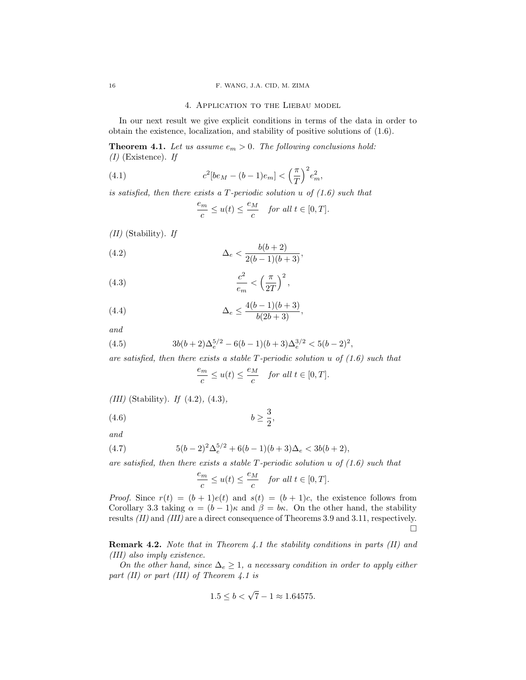#### 4. Application to the Liebau model

In our next result we give explicit conditions in terms of the data in order to obtain the existence, localization, and stability of positive solutions of (1.6).

**Theorem 4.1.** Let us assume  $e_m > 0$ . The following conclusions hold:  $(I)$  (Existence). If

(4.1) 
$$
c^{2}[be_{M}-(b-1)e_{m}] < \left(\frac{\pi}{T}\right)^{2}e_{m}^{2},
$$

is satisfied, then there exists a T-periodic solution u of  $(1.6)$  such that

$$
\frac{e_m}{c} \le u(t) \le \frac{e_M}{c} \quad \text{for all } t \in [0, T].
$$

 $(II)$  (Stability). If

(4.2) 
$$
\Delta_e < \frac{b(b+2)}{2(b-1)(b+3)},
$$

$$
(4.3) \qquad \qquad \frac{c^2}{e_m} < \left(\frac{\pi}{2T}\right)^2,
$$

(4.4) 
$$
\Delta_e \le \frac{4(b-1)(b+3)}{b(2b+3)},
$$

and

(4.5) 
$$
3b(b+2)\Delta_e^{5/2} - 6(b-1)(b+3)\Delta_e^{3/2} < 5(b-2)^2,
$$

are satisfied, then there exists a stable  $T$ -periodic solution u of  $(1.6)$  such that

$$
\frac{e_m}{c} \le u(t) \le \frac{e_M}{c} \quad \text{for all } t \in [0, T].
$$

 $\Omega$ 

(III) (Stability). If  $(4.2)$ ,  $(4.3)$ ,

$$
(4.6) \t\t b \ge \frac{3}{2},
$$

and

(4.7) 
$$
5(b-2)^2\Delta_e^{5/2} + 6(b-1)(b+3)\Delta_e < 3b(b+2),
$$

are satisfied, then there exists a stable  $T$ -periodic solution u of  $(1.6)$  such that

$$
\frac{e_m}{c} \le u(t) \le \frac{e_M}{c} \quad \text{for all } t \in [0, T].
$$

*Proof.* Since  $r(t) = (b+1)e(t)$  and  $s(t) = (b+1)c$ , the existence follows from Corollary 3.3 taking  $\alpha = (b-1)\kappa$  and  $\beta = b\kappa$ . On the other hand, the stability results (II) and (III) are a direct consequence of Theorems 3.9 and 3.11, respectively.  $\Box$ 

Remark 4.2. Note that in Theorem 4.1 the stability conditions in parts (II) and (III) also imply existence.

On the other hand, since  $\Delta_e \geq 1$ , a necessary condition in order to apply either part (II) or part (III) of Theorem 4.1 is

$$
1.5 \le b < \sqrt{7} - 1 \approx 1.64575.
$$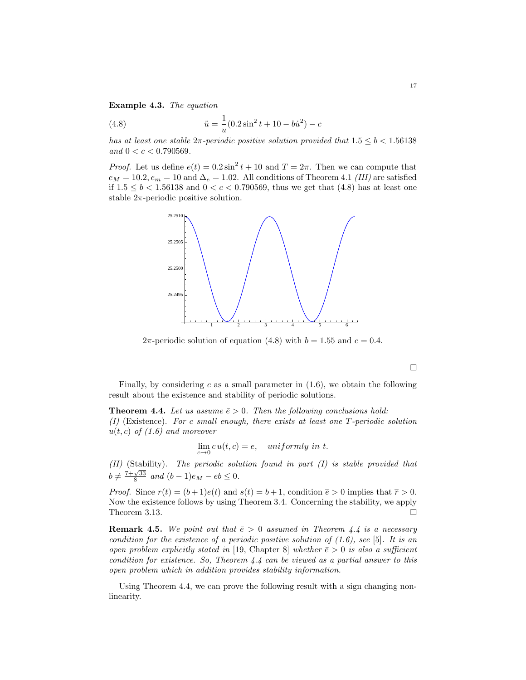Example 4.3. The equation

(4.8) 
$$
\ddot{u} = \frac{1}{u}(0.2\sin^2 t + 10 - b\dot{u}^2) - c
$$

has at least one stable  $2\pi$ -periodic positive solution provided that  $1.5 \le b < 1.56138$ and  $0 < c < 0.790569$ .

*Proof.* Let us define  $e(t) = 0.2 \sin^2 t + 10$  and  $T = 2\pi$ . Then we can compute that  $e_M = 10.2, e_m = 10$  and  $\Delta_e = 1.02$ . All conditions of Theorem 4.1 (III) are satisfied if  $1.5 \le b < 1.56138$  and  $0 < c < 0.790569$ , thus we get that (4.8) has at least one stable  $2\pi$ -periodic positive solution.



2π-periodic solution of equation (4.8) with  $b = 1.55$  and  $c = 0.4$ .

 $\Box$ 

Finally, by considering c as a small parameter in  $(1.6)$ , we obtain the following result about the existence and stability of periodic solutions.

**Theorem 4.4.** Let us assume  $\bar{e} > 0$ . Then the following conclusions hold: (I) (Existence). For c small enough, there exists at least one T-periodic solution  $u(t, c)$  of  $(1.6)$  and moreover

$$
\lim_{c \to 0} c u(t, c) = \overline{e}, \quad uniformly \ in \ t.
$$

(II) (Stability). The periodic solution found in part (I) is stable provided that  $b \neq \frac{7+\sqrt{33}}{8}$  and  $(b-1)e_M - \overline{e}b \leq 0$ .

*Proof.* Since  $r(t) = (b+1)e(t)$  and  $s(t) = b+1$ , condition  $\bar{e} > 0$  implies that  $\bar{r} > 0$ . Now the existence follows by using Theorem 3.4. Concerning the stability, we apply Theorem 3.13.  $\Box$ 

**Remark 4.5.** We point out that  $\bar{e} > 0$  assumed in Theorem 4.4 is a necessary condition for the existence of a periodic positive solution of  $(1.6)$ , see [5]. It is an open problem explicitly stated in [19, Chapter 8] whether  $\bar{e} > 0$  is also a sufficient condition for existence. So, Theorem 4.4 can be viewed as a partial answer to this open problem which in addition provides stability information.

Using Theorem 4.4, we can prove the following result with a sign changing nonlinearity.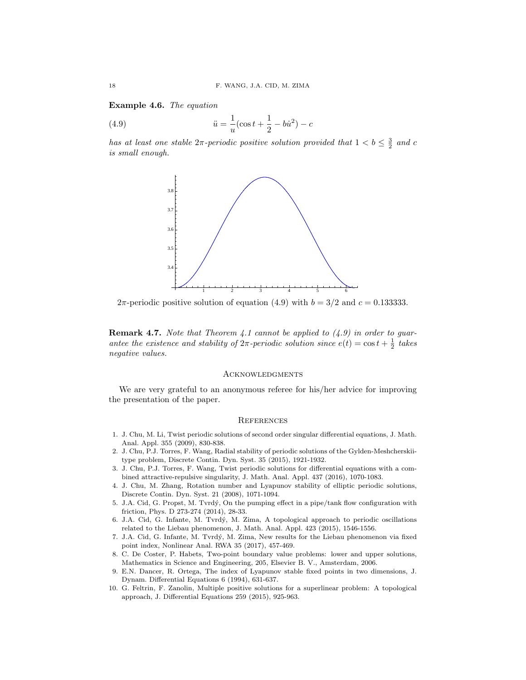Example 4.6. The equation

(4.9) 
$$
\ddot{u} = \frac{1}{u}(\cos t + \frac{1}{2} - b\dot{u}^2) - c
$$

has at least one stable  $2\pi$ -periodic positive solution provided that  $1 < b \leq \frac{3}{2}$  and c is small enough.



2π-periodic positive solution of equation (4.9) with  $b = 3/2$  and  $c = 0.133333$ .

**Remark 4.7.** Note that Theorem 4.1 cannot be applied to  $(4.9)$  in order to guarantee the existence and stability of  $2\pi$ -periodic solution since  $e(t) = \cos t + \frac{1}{2}$  takes negative values.

### **ACKNOWLEDGMENTS**

We are very grateful to an anonymous referee for his/her advice for improving the presentation of the paper.

#### **REFERENCES**

- 1. J. Chu, M. Li, Twist periodic solutions of second order singular differential equations, J. Math. Anal. Appl. 355 (2009), 830-838.
- 2. J. Chu, P.J. Torres, F. Wang, Radial stability of periodic solutions of the Gylden-Meshcherskiitype problem, Discrete Contin. Dyn. Syst. 35 (2015), 1921-1932.
- 3. J. Chu, P.J. Torres, F. Wang, Twist periodic solutions for differential equations with a combined attractive-repulsive singularity, J. Math. Anal. Appl. 437 (2016), 1070-1083.
- 4. J. Chu, M. Zhang, Rotation number and Lyapunov stability of elliptic periodic solutions, Discrete Contin. Dyn. Syst. 21 (2008), 1071-1094.
- 5. J.A. Cid, G. Propst, M. Tvrd´y, On the pumping effect in a pipe/tank flow configuration with friction, Phys. D 273-274 (2014), 28-33.
- 6. J.A. Cid, G. Infante, M. Tvrd´y, M. Zima, A topological approach to periodic oscillations related to the Liebau phenomenon, J. Math. Anal. Appl. 423 (2015), 1546-1556.
- 7. J.A. Cid, G. Infante, M. Tvrd´y, M. Zima, New results for the Liebau phenomenon via fixed point index, Nonlinear Anal. RWA 35 (2017), 457-469.
- 8. C. De Coster, P. Habets, Two-point boundary value problems: lower and upper solutions, Mathematics in Science and Engineering, 205, Elsevier B. V., Amsterdam, 2006.
- 9. E.N. Dancer, R. Ortega, The index of Lyapunov stable fixed points in two dimensions, J. Dynam. Differential Equations 6 (1994), 631-637.
- 10. G. Feltrin, F. Zanolin, Multiple positive solutions for a superlinear problem: A topological approach, J. Differential Equations 259 (2015), 925-963.